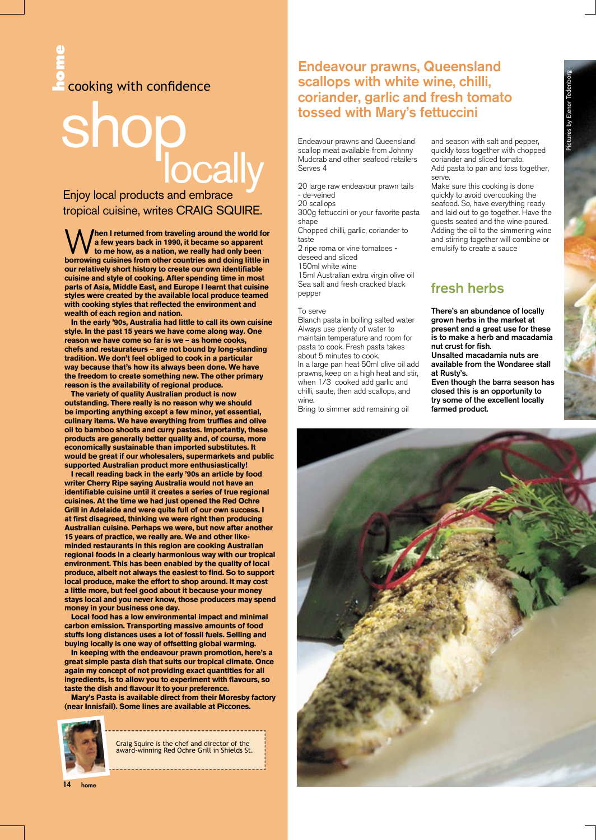# **hade cooking with confidence**

# shop all

Enjoy local products and embrace tropical cuisine, writes CRAIG SQUIRE.

W**hen I returned from traveling around the world for a few years back in 1990, it became so apparent to me how, as a nation, we really had only been borrowing cuisines from other countries and doing little in our relatively short history to create our own identifiable cuisine and style of cooking. After spending time in most parts of Asia, Middle East, and Europe I learnt that cuisine styles were created by the available local produce teamed with cooking styles that reflected the environment and wealth of each region and nation.**

**In the early '90s, Australia had little to call its own cuisine style. In the past 15 years we have come along way. One reason we have come so far is we – as home cooks, chefs and restaurateurs – are not bound by long-standing tradition. We don't feel obliged to cook in a particular way because that's how its always been done. We have the freedom to create something new. The other primary reason is the availability of regional produce.**

**The variety of quality Australian product is now outstanding. There really is no reason why we should be importing anything except a few minor, yet essential, culinary items. We have everything from truffles and olive oil to bamboo shoots and curry pastes. Importantly, these products are generally better quality and, of course, more economically sustainable than imported substitutes. It would be great if our wholesalers, supermarkets and public supported Australian product more enthusiastically!**

**I recall reading back in the early '90s an article by food writer Cherry Ripe saying Australia would not have an identifiable cuisine until it creates a series of true regional cuisines. At the time we had just opened the Red Ochre Grill in Adelaide and were quite full of our own success. I at first disagreed, thinking we were right then producing Australian cuisine. Perhaps we were, but now after another 15 years of practice, we really are. We and other likeminded restaurants in this region are cooking Australian regional foods in a clearly harmonious way with our tropical environment. This has been enabled by the quality of local produce, albeit not always the easiest to find. So to support local produce, make the effort to shop around. It may cost a little more, but feel good about it because your money stays local and you never know, those producers may spend money in your business one day.** 

**Local food has a low environmental impact and minimal carbon emission. Transporting massive amounts of food stuffs long distances uses a lot of fossil fuels. Selling and buying locally is one way of offsetting global warming.**

**In keeping with the endeavour prawn promotion, here's a great simple pasta dish that suits our tropical climate. Once again my concept of not providing exact quantities for all ingredients, is to allow you to experiment with flavours, so taste the dish and flavour it to your preference.**

**Mary's Pasta is available direct from their Moresby factory (near Innisfail). Some lines are available at Piccones.**



Craig Squire is the chef and director of the award-winning Red Ochre Grill in Shields St.

## Endeavour prawns, Queensland scallops with white wine, chilli, coriander, garlic and fresh tomato tossed with Mary's fettuccini

Endeavour prawns and Queensland scallop meat available from Johnny Mudcrab and other seafood retailers Serves 4

20 large raw endeavour prawn tails - de-veined

20 scallops

300g fettuccini or your favorite pasta shape

Chopped chilli, garlic, coriander to taste

2 ripe roma or vine tomatoes deseed and sliced

150ml white wine

15ml Australian extra virgin olive oil Sea salt and fresh cracked black pepper

#### To serve

Blanch pasta in boiling salted water Always use plenty of water to maintain temperature and room for pasta to cook. Fresh pasta takes about 5 minutes to cook. In a large pan heat 50ml olive oil add prawns, keep on a high heat and stir, when 1/3 cooked add garlic and chilli, saute, then add scallops, and wine.

Bring to simmer add remaining oil

#### and season with salt and pepper, quickly toss together with chopped coriander and sliced tomato. Add pasta to pan and toss together, serve.

Make sure this cooking is done quickly to avoid overcooking the seafood. So, have everything ready and laid out to go together. Have the guests seated and the wine poured. Adding the oil to the simmering wine and stirring together will combine or emulsify to create a sauce

# fresh herbs

There's an abundance of locally grown herbs in the market at present and a great use for these is to make a herb and macadamia nut crust for fish.

Unsalted macadamia nuts are available from the Wondaree stall at Rusty's.

Even though the barra season has closed this is an opportunity to try some of the excellent locally farmed product.



14 home 14 home